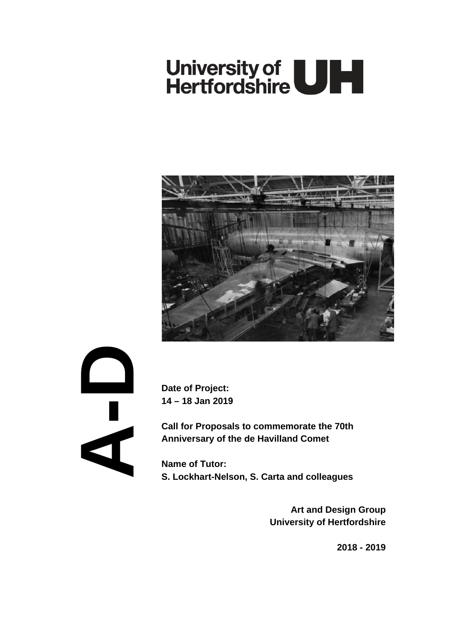# University of **ULL**



**A- D**

**Date of Project: 14 – 18 Jan 2019**

**Call for Proposals to commemorate the 70th Anniversary of the de Havilland Comet** 

**Name of Tutor: S. Lockhart-Nelson, S. Carta and colleagues**

> **Art and Design Group University of Hertfordshire**

> > **2018 - 2019**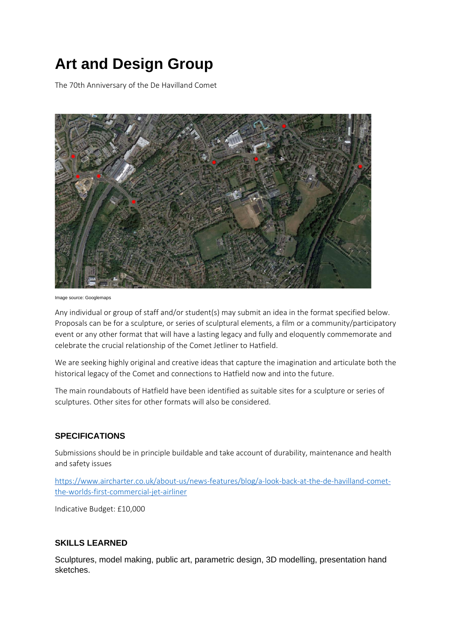# **Art and Design Group**

The 70th Anniversary of the De Havilland Comet



Image source: Googlemaps

Any individual or group of staff and/or student(s) may submit an idea in the format specified below. Proposals can be for a sculpture, or series of sculptural elements, a film or a community/participatory event or any other format that will have a lasting legacy and fully and eloquently commemorate and celebrate the crucial relationship of the Comet Jetliner to Hatfield.

We are seeking highly original and creative ideas that capture the imagination and articulate both the historical legacy of the Comet and connections to Hatfield now and into the future.

The main roundabouts of Hatfield have been identified as suitable sites for a sculpture or series of sculptures. Other sites for other formats will also be considered.

## **SPECIFICATIONS**

Submissions should be in principle buildable and take account of durability, maintenance and health and safety issues

[https://www.aircharter.co.uk/about-us/news-features/blog/a-look-back-at-the-de-havilland-comet](https://www.aircharter.co.uk/about-us/news-features/blog/a-look-back-at-the-de-havilland-comet-the-worlds-first-commercial-jet-airliner)[the-worlds-first-commercial-jet-airliner](https://www.aircharter.co.uk/about-us/news-features/blog/a-look-back-at-the-de-havilland-comet-the-worlds-first-commercial-jet-airliner)

Indicative Budget: £10,000

#### **SKILLS LEARNED**

Sculptures, model making, public art, parametric design, 3D modelling, presentation hand sketches.